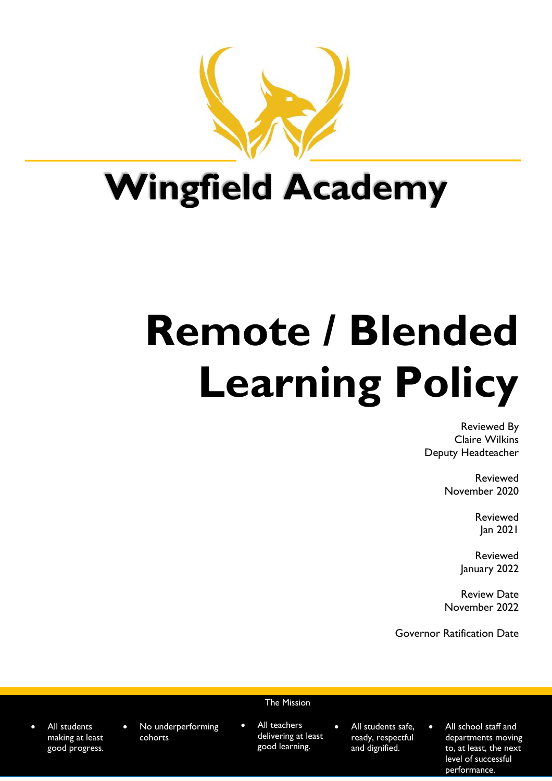

## **Wingfield Academy**

# **Remote / Blended Learning Policy**

Reviewed By Claire Wilkins Deputy Headteacher

> Reviewed November 2020

> > Reviewed Jan 2021

Reviewed January 2022

Review Date November 2022

Governor Ratification Date

- All students making at least good progress.
- No underperforming cohorts

#### The Mission

- $\bullet$  All teachers delivering at least good learning.
- All students safe. ready, respectful and dignified.
- All school staff and departments moving to, at least, the next level of successful performance.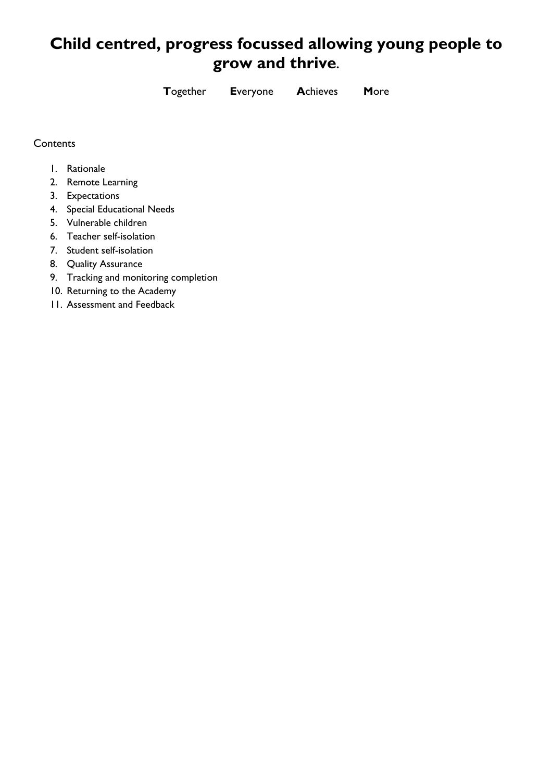### **Child centred, progress focussed allowing young people to grow and thrive.**

**T**ogether **E**veryone **A**chieves **M**ore

#### **Contents**

- 1. Rationale
- 2. Remote Learning
- 3. Expectations
- 4. Special Educational Needs
- 5. Vulnerable children
- 6. Teacher self-isolation
- 7. Student self-isolation
- 8. Quality Assurance
- 9. Tracking and monitoring completion
- 10. Returning to the Academy
- 11. Assessment and Feedback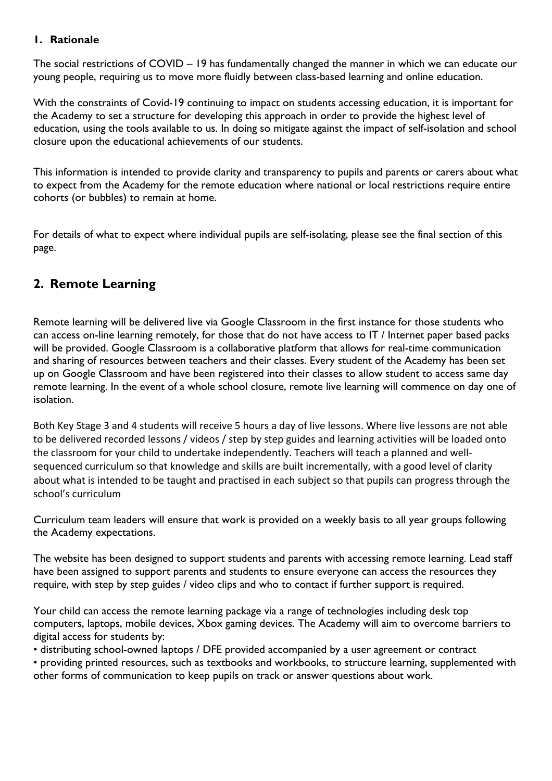#### **1. Rationale**

The social restrictions of COVID – 19 has fundamentally changed the manner in which we can educate our young people, requiring us to move more fluidly between class-based learning and online education.

With the constraints of Covid-19 continuing to impact on students accessing education, it is important for the Academy to set a structure for developing this approach in order to provide the highest level of education, using the tools available to us. In doing so mitigate against the impact of self-isolation and school closure upon the educational achievements of our students.

This information is intended to provide clarity and transparency to pupils and parents or carers about what to expect from the Academy for the remote education where national or local restrictions require entire cohorts (or bubbles) to remain at home.

For details of what to expect where individual pupils are self-isolating, please see the final section of this page.

#### **2. Remote Learning**

Remote learning will be delivered live via Google Classroom in the first instance for those students who can access on-line learning remotely, for those that do not have access to IT / Internet paper based packs will be provided. Google Classroom is a collaborative platform that allows for real-time communication and sharing of resources between teachers and their classes. Every student of the Academy has been set up on Google Classroom and have been registered into their classes to allow student to access same day remote learning. In the event of a whole school closure, remote live learning will commence on day one of isolation.

Both Key Stage 3 and 4 students will receive 5 hours a day of live lessons. Where live lessons are not able to be delivered recorded lessons / videos / step by step guides and learning activities will be loaded onto the classroom for your child to undertake independently. Teachers will teach a planned and wellsequenced curriculum so that knowledge and skills are built incrementally, with a good level of clarity about what is intended to be taught and practised in each subject so that pupils can progress through the school's curriculum

Curriculum team leaders will ensure that work is provided on a weekly basis to all year groups following the Academy expectations.

The website has been designed to support students and parents with accessing remote learning. Lead staff have been assigned to support parents and students to ensure everyone can access the resources they require, with step by step guides / video clips and who to contact if further support is required.

Your child can access the remote learning package via a range of technologies including desk top computers, laptops, mobile devices, Xbox gaming devices. The Academy will aim to overcome barriers to digital access for students by:

• distributing school-owned laptops / DFE provided accompanied by a user agreement or contract

• providing printed resources, such as textbooks and workbooks, to structure learning, supplemented with other forms of communication to keep pupils on track or answer questions about work.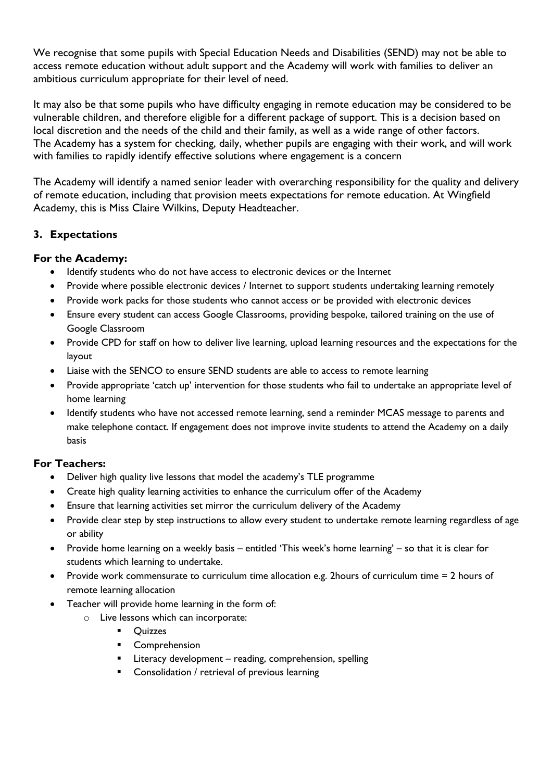We recognise that some pupils with Special Education Needs and Disabilities (SEND) may not be able to access remote education without adult support and the Academy will work with families to deliver an ambitious curriculum appropriate for their level of need.

It may also be that some pupils who have difficulty engaging in remote education may be considered to be vulnerable children, and therefore eligible for a different package of support. This is a decision based on local discretion and the needs of the child and their family, as well as a wide range of other factors. The Academy has a system for checking, daily, whether pupils are engaging with their work, and will work with families to rapidly identify effective solutions where engagement is a concern

The Academy will identify a named senior leader with overarching responsibility for the quality and delivery of remote education, including that provision meets expectations for remote education. At Wingfield Academy, this is Miss Claire Wilkins, Deputy Headteacher.

#### **3. Expectations**

#### **For the Academy:**

- Identify students who do not have access to electronic devices or the Internet
- Provide where possible electronic devices / Internet to support students undertaking learning remotely
- Provide work packs for those students who cannot access or be provided with electronic devices
- Ensure every student can access Google Classrooms, providing bespoke, tailored training on the use of Google Classroom
- Provide CPD for staff on how to deliver live learning, upload learning resources and the expectations for the layout
- Liaise with the SENCO to ensure SEND students are able to access to remote learning
- Provide appropriate 'catch up' intervention for those students who fail to undertake an appropriate level of home learning
- Identify students who have not accessed remote learning, send a reminder MCAS message to parents and make telephone contact. If engagement does not improve invite students to attend the Academy on a daily basis

#### **For Teachers:**

- Deliver high quality live lessons that model the academy's TLE programme
- Create high quality learning activities to enhance the curriculum offer of the Academy
- Ensure that learning activities set mirror the curriculum delivery of the Academy
- Provide clear step by step instructions to allow every student to undertake remote learning regardless of age or ability
- Provide home learning on a weekly basis entitled 'This week's home learning' so that it is clear for students which learning to undertake.
- Provide work commensurate to curriculum time allocation e.g. 2hours of curriculum time = 2 hours of remote learning allocation
- Teacher will provide home learning in the form of:
	- o Live lessons which can incorporate:
		- Quizzes
		- Comprehension
		- Literacy development reading, comprehension, spelling
		- Consolidation / retrieval of previous learning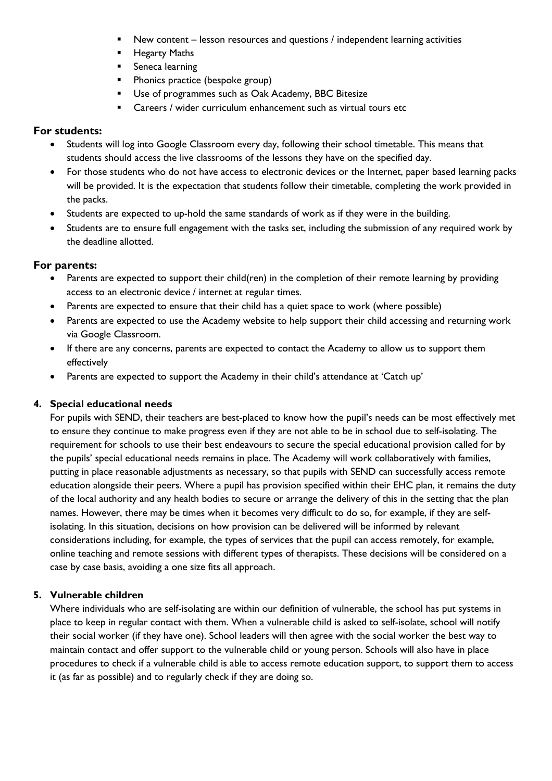- New content lesson resources and questions / independent learning activities
- **E** Hegarty Maths
- § Seneca learning
- Phonics practice (bespoke group)
- Use of programmes such as Oak Academy, BBC Bitesize
- § Careers / wider curriculum enhancement such as virtual tours etc

#### **For students:**

- Students will log into Google Classroom every day, following their school timetable. This means that students should access the live classrooms of the lessons they have on the specified day.
- For those students who do not have access to electronic devices or the Internet, paper based learning packs will be provided. It is the expectation that students follow their timetable, completing the work provided in the packs.
- Students are expected to up-hold the same standards of work as if they were in the building.
- Students are to ensure full engagement with the tasks set, including the submission of any required work by the deadline allotted.

#### **For parents:**

- Parents are expected to support their child(ren) in the completion of their remote learning by providing access to an electronic device / internet at regular times.
- Parents are expected to ensure that their child has a quiet space to work (where possible)
- Parents are expected to use the Academy website to help support their child accessing and returning work via Google Classroom.
- If there are any concerns, parents are expected to contact the Academy to allow us to support them effectively
- Parents are expected to support the Academy in their child's attendance at 'Catch up'

#### **4. Special educational needs**

For pupils with SEND, their teachers are best-placed to know how the pupil's needs can be most effectively met to ensure they continue to make progress even if they are not able to be in school due to self-isolating. The requirement for schools to use their best endeavours to secure the special educational provision called for by the pupils' special educational needs remains in place. The Academy will work collaboratively with families, putting in place reasonable adjustments as necessary, so that pupils with SEND can successfully access remote education alongside their peers. Where a pupil has provision specified within their EHC plan, it remains the duty of the local authority and any health bodies to secure or arrange the delivery of this in the setting that the plan names. However, there may be times when it becomes very difficult to do so, for example, if they are selfisolating. In this situation, decisions on how provision can be delivered will be informed by relevant considerations including, for example, the types of services that the pupil can access remotely, for example, online teaching and remote sessions with different types of therapists. These decisions will be considered on a case by case basis, avoiding a one size fits all approach.

#### **5. Vulnerable children**

Where individuals who are self-isolating are within our definition of vulnerable, the school has put systems in place to keep in regular contact with them. When a vulnerable child is asked to self-isolate, school will notify their social worker (if they have one). School leaders will then agree with the social worker the best way to maintain contact and offer support to the vulnerable child or young person. Schools will also have in place procedures to check if a vulnerable child is able to access remote education support, to support them to access it (as far as possible) and to regularly check if they are doing so.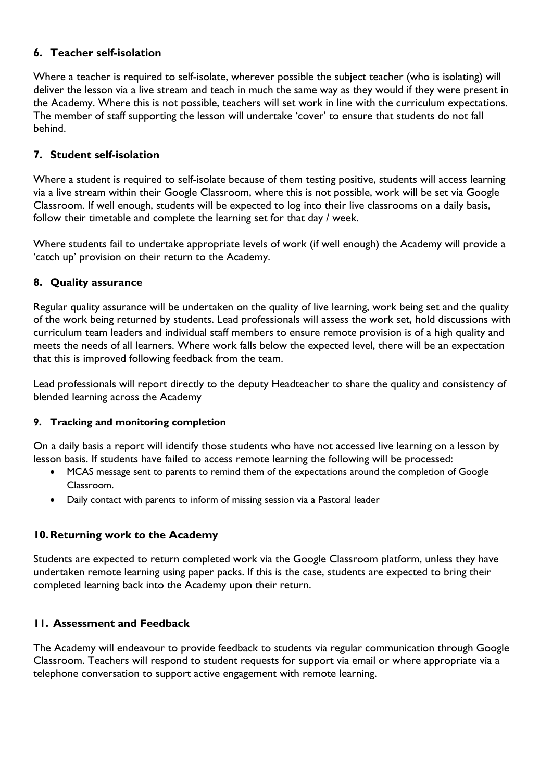#### **6. Teacher self-isolation**

Where a teacher is required to self-isolate, wherever possible the subject teacher (who is isolating) will deliver the lesson via a live stream and teach in much the same way as they would if they were present in the Academy. Where this is not possible, teachers will set work in line with the curriculum expectations. The member of staff supporting the lesson will undertake 'cover' to ensure that students do not fall behind.

#### **7. Student self-isolation**

Where a student is required to self-isolate because of them testing positive, students will access learning via a live stream within their Google Classroom, where this is not possible, work will be set via Google Classroom. If well enough, students will be expected to log into their live classrooms on a daily basis, follow their timetable and complete the learning set for that day / week.

Where students fail to undertake appropriate levels of work (if well enough) the Academy will provide a 'catch up' provision on their return to the Academy.

#### **8. Quality assurance**

Regular quality assurance will be undertaken on the quality of live learning, work being set and the quality of the work being returned by students. Lead professionals will assess the work set, hold discussions with curriculum team leaders and individual staff members to ensure remote provision is of a high quality and meets the needs of all learners. Where work falls below the expected level, there will be an expectation that this is improved following feedback from the team.

Lead professionals will report directly to the deputy Headteacher to share the quality and consistency of blended learning across the Academy

#### **9. Tracking and monitoring completion**

On a daily basis a report will identify those students who have not accessed live learning on a lesson by lesson basis. If students have failed to access remote learning the following will be processed:

- MCAS message sent to parents to remind them of the expectations around the completion of Google Classroom.
- Daily contact with parents to inform of missing session via a Pastoral leader

#### **10.Returning work to the Academy**

Students are expected to return completed work via the Google Classroom platform, unless they have undertaken remote learning using paper packs. If this is the case, students are expected to bring their completed learning back into the Academy upon their return.

#### **11. Assessment and Feedback**

The Academy will endeavour to provide feedback to students via regular communication through Google Classroom. Teachers will respond to student requests for support via email or where appropriate via a telephone conversation to support active engagement with remote learning.